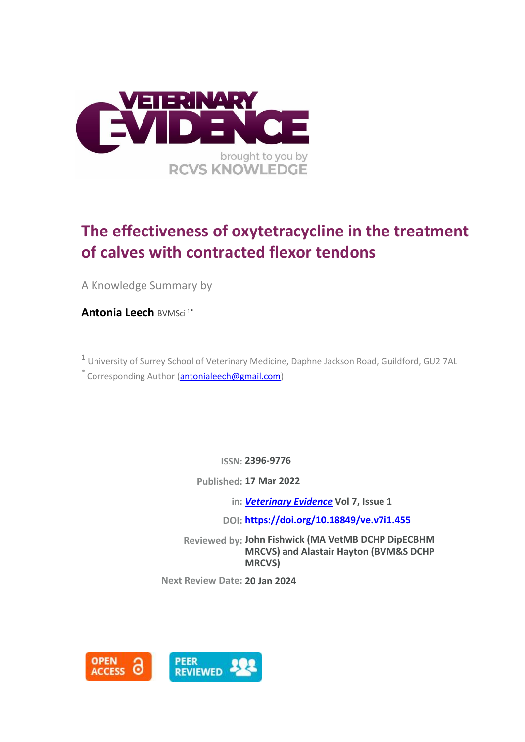

# **The effectiveness of oxytetracycline in the treatment of calves with contracted flexor tendons**

A Knowledge Summary by

**Antonia Leech** BVMSci 1\*

<sup>1</sup> University of Surrey School of Veterinary Medicine, Daphne Jackson Road, Guildford, GU2 7AL  $*$  Corresponding Author [\(antonialeech@gmail.com\)](antonialeech@gmail.com)

**ISSN: 2396-9776**

**Published: 17 Mar 2022**

**in:** *[Veterinary Evidence](https://veterinaryevidence.org/index.php/ve)* **Vol 7, Issue 1**

**DOI: <https://doi.org/10.18849/ve.v7i1.455>**

**Reviewed by: John Fishwick (MA VetMB DCHP DipECBHM MRCVS) and Alastair Hayton (BVM&S DCHP MRCVS)**

**Next Review Date: 20 Jan 2024**

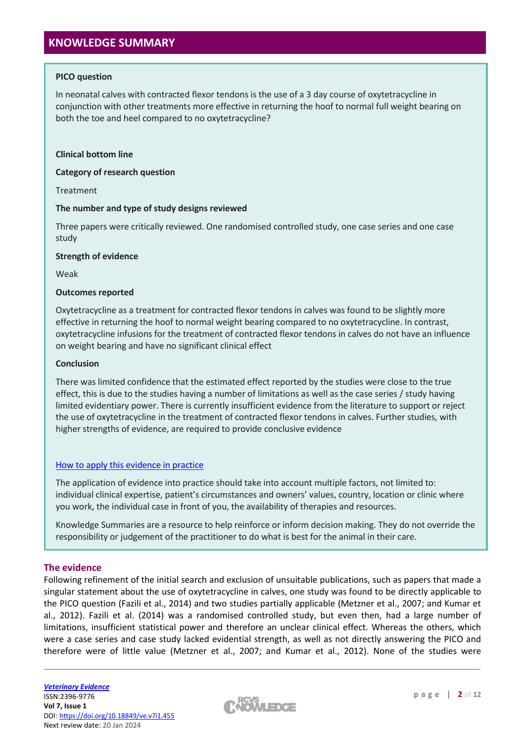## **KNOWLEDGE SUMMARY**

#### **PICO question**

In neonatal calves with contracted flexor tendons is the use of a 3 day course of oxytetracycline in conjunction with other treatments more effective in returning the hoof to normal full weight bearing on both the toe and heel compared to no oxytetracycline?

#### **Clinical bottom line**

**Category of research question**

Treatment

#### **The number and type of study designs reviewed**

Three papers were critically reviewed. One randomised controlled study, one case series and one case study

#### **Strength of evidence**

Weak

#### **Outcomes reported**

Oxytetracycline as a treatment for contracted flexor tendons in calves was found to be slightly more effective in returning the hoof to normal weight bearing compared to no oxytetracycline. In contrast, oxytetracycline infusions for the treatment of contracted flexor tendons in calves do not have an influence on weight bearing and have no significant clinical effect

#### **Conclusion**

There was limited confidence that the estimated effect reported by the studies were close to the true effect, this is due to the studies having a number of limitations as well as the case series / study having limited evidentiary power. There is currently insufficient evidence from the literature to support or reject the use of oxytetracycline in the treatment of contracted flexor tendons in calves. Further studies, with higher strengths of evidence, are required to provide conclusive evidence

#### [How to apply this evidence in practice](https://learn.rcvsknowledge.org/mod/book/view.php?id=50)

The application of evidence into practice should take into account multiple factors, not limited to: individual clinical expertise, patient's circumstances and owners' values, country, location or clinic where you work, the individual case in front of you, the availability of therapies and resources.

Knowledge Summaries are a resource to help reinforce or inform decision making. They do not override the responsibility or judgement of the practitioner to do what is best for the animal in their care.

#### **The evidence**

Following refinement of the initial search and exclusion of unsuitable publications, such as papers that made a singular statement about the use of oxytetracycline in calves, one study was found to be directly applicable to the PICO question (Fazili et al., 2014) and two studies partially applicable (Metzner et al., 2007; and Kumar et al., 2012). Fazili et al. (2014) was a randomised controlled study, but even then, had a large number of limitations, insufficient statistical power and therefore an unclear clinical effect. Whereas the others, which were a case series and case study lacked evidential strength, as well as not directly answering the PICO and therefore were of little value (Metzner et al., 2007; and Kumar et al., 2012). None of the studies were

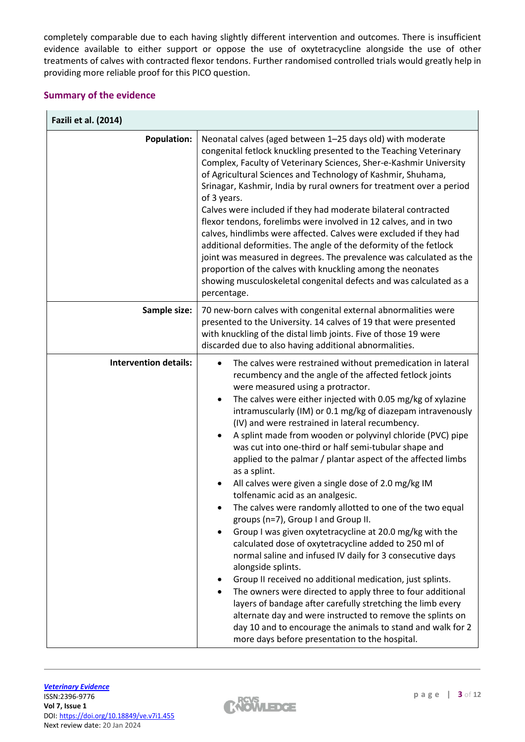completely comparable due to each having slightly different intervention and outcomes. There is insufficient evidence available to either support or oppose the use of oxytetracycline alongside the use of other treatments of calves with contracted flexor tendons. Further randomised controlled trials would greatly help in providing more reliable proof for this PICO question.

## **Summary of the evidence**

| Fazili et al. (2014)         |                                                                                                                                                                                                                                                                                                                                                                                                                                                                                                                                                                                                                                                                                                                                                                                                                                                                                                                                                                                                                                                                                                                                                                                                                                                                                                                                                  |  |  |  |
|------------------------------|--------------------------------------------------------------------------------------------------------------------------------------------------------------------------------------------------------------------------------------------------------------------------------------------------------------------------------------------------------------------------------------------------------------------------------------------------------------------------------------------------------------------------------------------------------------------------------------------------------------------------------------------------------------------------------------------------------------------------------------------------------------------------------------------------------------------------------------------------------------------------------------------------------------------------------------------------------------------------------------------------------------------------------------------------------------------------------------------------------------------------------------------------------------------------------------------------------------------------------------------------------------------------------------------------------------------------------------------------|--|--|--|
| <b>Population:</b>           | Neonatal calves (aged between 1-25 days old) with moderate<br>congenital fetlock knuckling presented to the Teaching Veterinary<br>Complex, Faculty of Veterinary Sciences, Sher-e-Kashmir University<br>of Agricultural Sciences and Technology of Kashmir, Shuhama,<br>Srinagar, Kashmir, India by rural owners for treatment over a period<br>of 3 years.<br>Calves were included if they had moderate bilateral contracted<br>flexor tendons, forelimbs were involved in 12 calves, and in two<br>calves, hindlimbs were affected. Calves were excluded if they had<br>additional deformities. The angle of the deformity of the fetlock<br>joint was measured in degrees. The prevalence was calculated as the<br>proportion of the calves with knuckling among the neonates<br>showing musculoskeletal congenital defects and was calculated as a<br>percentage.                                                                                                                                                                                                                                                                                                                                                                                                                                                                           |  |  |  |
| Sample size:                 | 70 new-born calves with congenital external abnormalities were<br>presented to the University. 14 calves of 19 that were presented<br>with knuckling of the distal limb joints. Five of those 19 were<br>discarded due to also having additional abnormalities.                                                                                                                                                                                                                                                                                                                                                                                                                                                                                                                                                                                                                                                                                                                                                                                                                                                                                                                                                                                                                                                                                  |  |  |  |
| <b>Intervention details:</b> | The calves were restrained without premedication in lateral<br>recumbency and the angle of the affected fetlock joints<br>were measured using a protractor.<br>The calves were either injected with 0.05 mg/kg of xylazine<br>$\bullet$<br>intramuscularly (IM) or 0.1 mg/kg of diazepam intravenously<br>(IV) and were restrained in lateral recumbency.<br>A splint made from wooden or polyvinyl chloride (PVC) pipe<br>was cut into one-third or half semi-tubular shape and<br>applied to the palmar / plantar aspect of the affected limbs<br>as a splint.<br>All calves were given a single dose of 2.0 mg/kg IM<br>tolfenamic acid as an analgesic.<br>The calves were randomly allotted to one of the two equal<br>groups (n=7), Group I and Group II.<br>Group I was given oxytetracycline at 20.0 mg/kg with the<br>calculated dose of oxytetracycline added to 250 ml of<br>normal saline and infused IV daily for 3 consecutive days<br>alongside splints.<br>Group II received no additional medication, just splints.<br>The owners were directed to apply three to four additional<br>layers of bandage after carefully stretching the limb every<br>alternate day and were instructed to remove the splints on<br>day 10 and to encourage the animals to stand and walk for 2<br>more days before presentation to the hospital. |  |  |  |

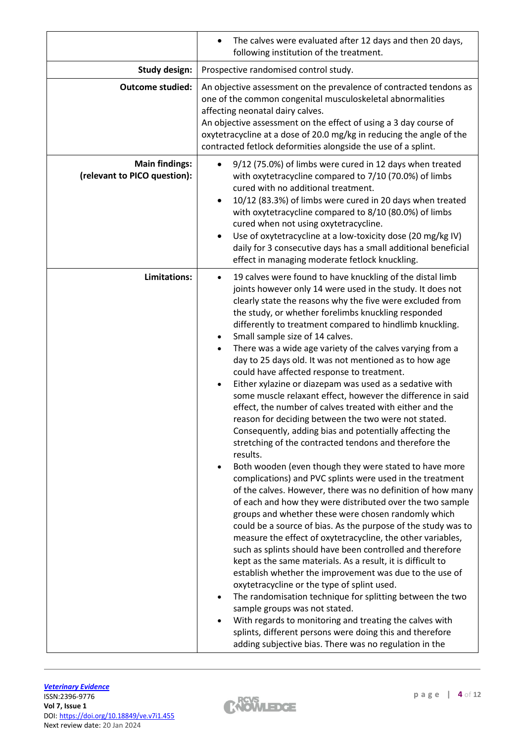|                                                       | The calves were evaluated after 12 days and then 20 days,<br>following institution of the treatment.                                                                                                                                                                                                                                                                                                                                                                                                                                                                                                                                                                                                                                                                                                                                                                                                                                                                                                                                                                                                                                                                                                                                                                                                                                                                                                                                                                                                                                                                                                                                                                                                                                                                                                                                                                                    |  |  |  |  |
|-------------------------------------------------------|-----------------------------------------------------------------------------------------------------------------------------------------------------------------------------------------------------------------------------------------------------------------------------------------------------------------------------------------------------------------------------------------------------------------------------------------------------------------------------------------------------------------------------------------------------------------------------------------------------------------------------------------------------------------------------------------------------------------------------------------------------------------------------------------------------------------------------------------------------------------------------------------------------------------------------------------------------------------------------------------------------------------------------------------------------------------------------------------------------------------------------------------------------------------------------------------------------------------------------------------------------------------------------------------------------------------------------------------------------------------------------------------------------------------------------------------------------------------------------------------------------------------------------------------------------------------------------------------------------------------------------------------------------------------------------------------------------------------------------------------------------------------------------------------------------------------------------------------------------------------------------------------|--|--|--|--|
| <b>Study design:</b>                                  | Prospective randomised control study.                                                                                                                                                                                                                                                                                                                                                                                                                                                                                                                                                                                                                                                                                                                                                                                                                                                                                                                                                                                                                                                                                                                                                                                                                                                                                                                                                                                                                                                                                                                                                                                                                                                                                                                                                                                                                                                   |  |  |  |  |
| <b>Outcome studied:</b>                               | An objective assessment on the prevalence of contracted tendons as<br>one of the common congenital musculoskeletal abnormalities<br>affecting neonatal dairy calves.<br>An objective assessment on the effect of using a 3 day course of<br>oxytetracycline at a dose of 20.0 mg/kg in reducing the angle of the<br>contracted fetlock deformities alongside the use of a splint.                                                                                                                                                                                                                                                                                                                                                                                                                                                                                                                                                                                                                                                                                                                                                                                                                                                                                                                                                                                                                                                                                                                                                                                                                                                                                                                                                                                                                                                                                                       |  |  |  |  |
| <b>Main findings:</b><br>(relevant to PICO question): | 9/12 (75.0%) of limbs were cured in 12 days when treated<br>with oxytetracycline compared to 7/10 (70.0%) of limbs<br>cured with no additional treatment.<br>10/12 (83.3%) of limbs were cured in 20 days when treated<br>with oxytetracycline compared to 8/10 (80.0%) of limbs<br>cured when not using oxytetracycline.<br>Use of oxytetracycline at a low-toxicity dose (20 mg/kg IV)<br>daily for 3 consecutive days has a small additional beneficial<br>effect in managing moderate fetlock knuckling.                                                                                                                                                                                                                                                                                                                                                                                                                                                                                                                                                                                                                                                                                                                                                                                                                                                                                                                                                                                                                                                                                                                                                                                                                                                                                                                                                                            |  |  |  |  |
| Limitations:                                          | 19 calves were found to have knuckling of the distal limb<br>$\bullet$<br>joints however only 14 were used in the study. It does not<br>clearly state the reasons why the five were excluded from<br>the study, or whether forelimbs knuckling responded<br>differently to treatment compared to hindlimb knuckling.<br>Small sample size of 14 calves.<br>There was a wide age variety of the calves varying from a<br>day to 25 days old. It was not mentioned as to how age<br>could have affected response to treatment.<br>Either xylazine or diazepam was used as a sedative with<br>some muscle relaxant effect, however the difference in said<br>effect, the number of calves treated with either and the<br>reason for deciding between the two were not stated.<br>Consequently, adding bias and potentially affecting the<br>stretching of the contracted tendons and therefore the<br>results.<br>Both wooden (even though they were stated to have more<br>$\bullet$<br>complications) and PVC splints were used in the treatment<br>of the calves. However, there was no definition of how many<br>of each and how they were distributed over the two sample<br>groups and whether these were chosen randomly which<br>could be a source of bias. As the purpose of the study was to<br>measure the effect of oxytetracycline, the other variables,<br>such as splints should have been controlled and therefore<br>kept as the same materials. As a result, it is difficult to<br>establish whether the improvement was due to the use of<br>oxytetracycline or the type of splint used.<br>The randomisation technique for splitting between the two<br>sample groups was not stated.<br>With regards to monitoring and treating the calves with<br>splints, different persons were doing this and therefore<br>adding subjective bias. There was no regulation in the |  |  |  |  |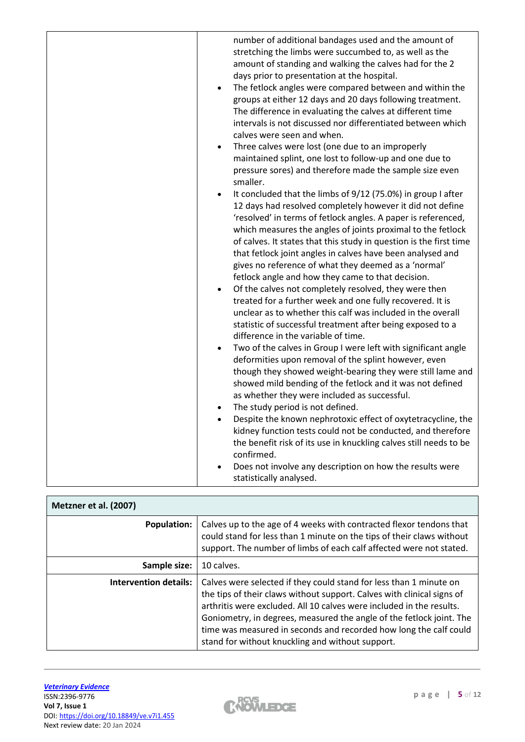| number of additional bandages used and the amount of<br>stretching the limbs were succumbed to, as well as the<br>amount of standing and walking the calves had for the 2<br>days prior to presentation at the hospital.<br>The fetlock angles were compared between and within the<br>$\bullet$<br>groups at either 12 days and 20 days following treatment.<br>The difference in evaluating the calves at different time<br>intervals is not discussed nor differentiated between which<br>calves were seen and when.<br>Three calves were lost (one due to an improperly<br>$\bullet$<br>maintained splint, one lost to follow-up and one due to<br>pressure sores) and therefore made the sample size even<br>smaller.<br>It concluded that the limbs of 9/12 (75.0%) in group I after<br>$\bullet$<br>12 days had resolved completely however it did not define<br>'resolved' in terms of fetlock angles. A paper is referenced,<br>which measures the angles of joints proximal to the fetlock<br>of calves. It states that this study in question is the first time<br>that fetlock joint angles in calves have been analysed and<br>gives no reference of what they deemed as a 'normal'<br>fetlock angle and how they came to that decision.<br>Of the calves not completely resolved, they were then<br>$\bullet$<br>treated for a further week and one fully recovered. It is<br>unclear as to whether this calf was included in the overall<br>statistic of successful treatment after being exposed to a<br>difference in the variable of time.<br>Two of the calves in Group I were left with significant angle<br>$\bullet$<br>deformities upon removal of the splint however, even<br>though they showed weight-bearing they were still lame and<br>showed mild bending of the fetlock and it was not defined<br>as whether they were included as successful.<br>The study period is not defined.<br>$\bullet$<br>Despite the known nephrotoxic effect of oxytetracycline, the<br>kidney function tests could not be conducted, and therefore<br>the benefit risk of its use in knuckling calves still needs to be |
|------------------------------------------------------------------------------------------------------------------------------------------------------------------------------------------------------------------------------------------------------------------------------------------------------------------------------------------------------------------------------------------------------------------------------------------------------------------------------------------------------------------------------------------------------------------------------------------------------------------------------------------------------------------------------------------------------------------------------------------------------------------------------------------------------------------------------------------------------------------------------------------------------------------------------------------------------------------------------------------------------------------------------------------------------------------------------------------------------------------------------------------------------------------------------------------------------------------------------------------------------------------------------------------------------------------------------------------------------------------------------------------------------------------------------------------------------------------------------------------------------------------------------------------------------------------------------------------------------------------------------------------------------------------------------------------------------------------------------------------------------------------------------------------------------------------------------------------------------------------------------------------------------------------------------------------------------------------------------------------------------------------------------------------------------------------------------------------------------------------------------------|
| confirmed.<br>Does not involve any description on how the results were                                                                                                                                                                                                                                                                                                                                                                                                                                                                                                                                                                                                                                                                                                                                                                                                                                                                                                                                                                                                                                                                                                                                                                                                                                                                                                                                                                                                                                                                                                                                                                                                                                                                                                                                                                                                                                                                                                                                                                                                                                                             |
| statistically analysed.                                                                                                                                                                                                                                                                                                                                                                                                                                                                                                                                                                                                                                                                                                                                                                                                                                                                                                                                                                                                                                                                                                                                                                                                                                                                                                                                                                                                                                                                                                                                                                                                                                                                                                                                                                                                                                                                                                                                                                                                                                                                                                            |

| Metzner et al. (2007) |                                                                                                                                                                                                                                                                                                                                                                                                                       |  |
|-----------------------|-----------------------------------------------------------------------------------------------------------------------------------------------------------------------------------------------------------------------------------------------------------------------------------------------------------------------------------------------------------------------------------------------------------------------|--|
| <b>Population:</b>    | Calves up to the age of 4 weeks with contracted flexor tendons that<br>could stand for less than 1 minute on the tips of their claws without<br>support. The number of limbs of each calf affected were not stated.                                                                                                                                                                                                   |  |
| Sample size:          | 10 calves.                                                                                                                                                                                                                                                                                                                                                                                                            |  |
| Intervention details: | Calves were selected if they could stand for less than 1 minute on<br>the tips of their claws without support. Calves with clinical signs of<br>arthritis were excluded. All 10 calves were included in the results.<br>Goniometry, in degrees, measured the angle of the fetlock joint. The<br>time was measured in seconds and recorded how long the calf could<br>stand for without knuckling and without support. |  |

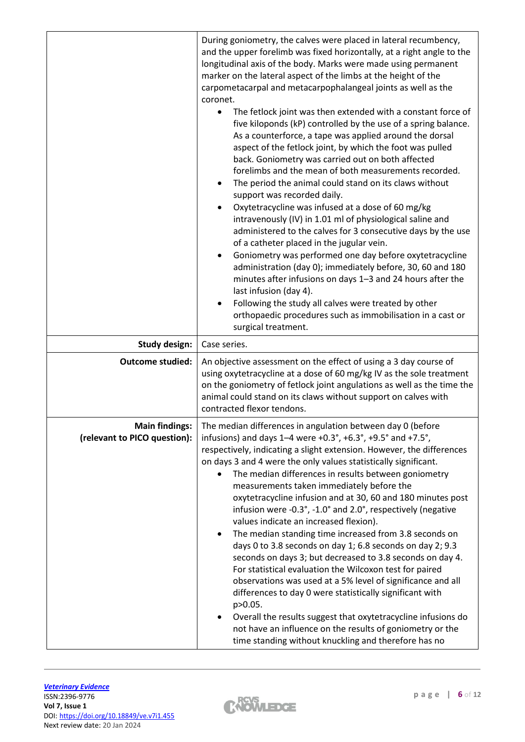|                                                       | During goniometry, the calves were placed in lateral recumbency,<br>and the upper forelimb was fixed horizontally, at a right angle to the<br>longitudinal axis of the body. Marks were made using permanent<br>marker on the lateral aspect of the limbs at the height of the<br>carpometacarpal and metacarpophalangeal joints as well as the<br>coronet.<br>The fetlock joint was then extended with a constant force of<br>five kiloponds (kP) controlled by the use of a spring balance.<br>As a counterforce, a tape was applied around the dorsal<br>aspect of the fetlock joint, by which the foot was pulled<br>back. Goniometry was carried out on both affected<br>forelimbs and the mean of both measurements recorded.<br>The period the animal could stand on its claws without<br>٠<br>support was recorded daily.<br>Oxytetracycline was infused at a dose of 60 mg/kg<br>intravenously (IV) in 1.01 ml of physiological saline and<br>administered to the calves for 3 consecutive days by the use<br>of a catheter placed in the jugular vein.<br>Goniometry was performed one day before oxytetracycline<br>٠<br>administration (day 0); immediately before, 30, 60 and 180<br>minutes after infusions on days 1-3 and 24 hours after the<br>last infusion (day 4).<br>Following the study all calves were treated by other<br>$\bullet$<br>orthopaedic procedures such as immobilisation in a cast or<br>surgical treatment. |  |  |
|-------------------------------------------------------|--------------------------------------------------------------------------------------------------------------------------------------------------------------------------------------------------------------------------------------------------------------------------------------------------------------------------------------------------------------------------------------------------------------------------------------------------------------------------------------------------------------------------------------------------------------------------------------------------------------------------------------------------------------------------------------------------------------------------------------------------------------------------------------------------------------------------------------------------------------------------------------------------------------------------------------------------------------------------------------------------------------------------------------------------------------------------------------------------------------------------------------------------------------------------------------------------------------------------------------------------------------------------------------------------------------------------------------------------------------------------------------------------------------------------------------------------|--|--|
| <b>Study design:</b>                                  | Case series.                                                                                                                                                                                                                                                                                                                                                                                                                                                                                                                                                                                                                                                                                                                                                                                                                                                                                                                                                                                                                                                                                                                                                                                                                                                                                                                                                                                                                                     |  |  |
| <b>Outcome studied:</b>                               | An objective assessment on the effect of using a 3 day course of<br>using oxytetracycline at a dose of 60 mg/kg IV as the sole treatment<br>on the goniometry of fetlock joint angulations as well as the time the<br>animal could stand on its claws without support on calves with<br>contracted flexor tendons.                                                                                                                                                                                                                                                                                                                                                                                                                                                                                                                                                                                                                                                                                                                                                                                                                                                                                                                                                                                                                                                                                                                               |  |  |
| <b>Main findings:</b><br>(relevant to PICO question): | The median differences in angulation between day 0 (before<br>infusions) and days 1-4 were +0.3°, +6.3°, +9.5° and +7.5°,<br>respectively, indicating a slight extension. However, the differences<br>on days 3 and 4 were the only values statistically significant.<br>The median differences in results between goniometry<br>$\bullet$<br>measurements taken immediately before the<br>oxytetracycline infusion and at 30, 60 and 180 minutes post<br>infusion were -0.3°, -1.0° and 2.0°, respectively (negative<br>values indicate an increased flexion).<br>The median standing time increased from 3.8 seconds on<br>days 0 to 3.8 seconds on day 1; 6.8 seconds on day 2; 9.3<br>seconds on days 3; but decreased to 3.8 seconds on day 4.<br>For statistical evaluation the Wilcoxon test for paired<br>observations was used at a 5% level of significance and all<br>differences to day 0 were statistically significant with<br>p>0.05.<br>Overall the results suggest that oxytetracycline infusions do<br>not have an influence on the results of goniometry or the<br>time standing without knuckling and therefore has no                                                                                                                                                                                                                                                                                                       |  |  |

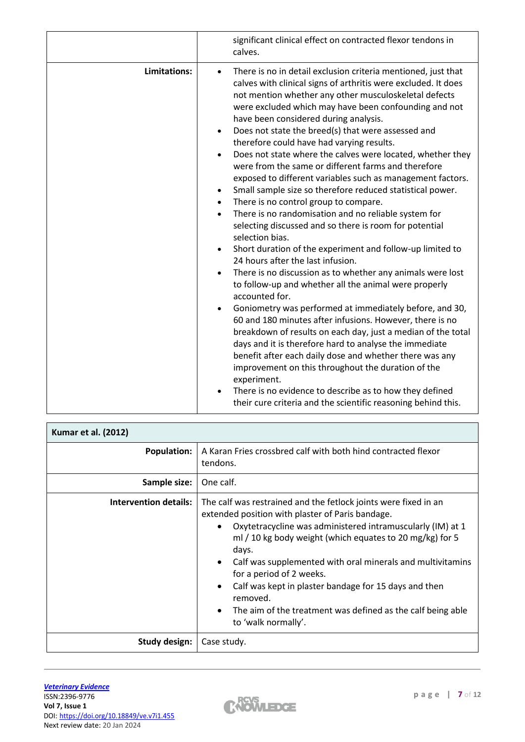|              | significant clinical effect on contracted flexor tendons in<br>calves.                                                                                                                                                                                                                                                                                                                                                                                                                                                                                                                                                                                                                                                                                                                                                                                                                                                                                                                                                                                                                                                                                                                                                                                                                                                                                                                                                                                                                                                                                                                                                                  |  |  |  |
|--------------|-----------------------------------------------------------------------------------------------------------------------------------------------------------------------------------------------------------------------------------------------------------------------------------------------------------------------------------------------------------------------------------------------------------------------------------------------------------------------------------------------------------------------------------------------------------------------------------------------------------------------------------------------------------------------------------------------------------------------------------------------------------------------------------------------------------------------------------------------------------------------------------------------------------------------------------------------------------------------------------------------------------------------------------------------------------------------------------------------------------------------------------------------------------------------------------------------------------------------------------------------------------------------------------------------------------------------------------------------------------------------------------------------------------------------------------------------------------------------------------------------------------------------------------------------------------------------------------------------------------------------------------------|--|--|--|
| Limitations: | There is no in detail exclusion criteria mentioned, just that<br>calves with clinical signs of arthritis were excluded. It does<br>not mention whether any other musculoskeletal defects<br>were excluded which may have been confounding and not<br>have been considered during analysis.<br>Does not state the breed(s) that were assessed and<br>therefore could have had varying results.<br>Does not state where the calves were located, whether they<br>$\bullet$<br>were from the same or different farms and therefore<br>exposed to different variables such as management factors.<br>Small sample size so therefore reduced statistical power.<br>There is no control group to compare.<br>$\bullet$<br>There is no randomisation and no reliable system for<br>$\bullet$<br>selecting discussed and so there is room for potential<br>selection bias.<br>Short duration of the experiment and follow-up limited to<br>24 hours after the last infusion.<br>There is no discussion as to whether any animals were lost<br>$\bullet$<br>to follow-up and whether all the animal were properly<br>accounted for.<br>Goniometry was performed at immediately before, and 30,<br>60 and 180 minutes after infusions. However, there is no<br>breakdown of results on each day, just a median of the total<br>days and it is therefore hard to analyse the immediate<br>benefit after each daily dose and whether there was any<br>improvement on this throughout the duration of the<br>experiment.<br>There is no evidence to describe as to how they defined<br>their cure criteria and the scientific reasoning behind this. |  |  |  |
|              |                                                                                                                                                                                                                                                                                                                                                                                                                                                                                                                                                                                                                                                                                                                                                                                                                                                                                                                                                                                                                                                                                                                                                                                                                                                                                                                                                                                                                                                                                                                                                                                                                                         |  |  |  |

| <b>Kumar et al. (2012)</b>   |                                                                                                                                                                                                                                                                                                                                                                                                                                                                                                                          |  |  |  |
|------------------------------|--------------------------------------------------------------------------------------------------------------------------------------------------------------------------------------------------------------------------------------------------------------------------------------------------------------------------------------------------------------------------------------------------------------------------------------------------------------------------------------------------------------------------|--|--|--|
| <b>Population:</b>           | A Karan Fries crossbred calf with both hind contracted flexor<br>tendons.                                                                                                                                                                                                                                                                                                                                                                                                                                                |  |  |  |
| Sample size:                 | One calf.                                                                                                                                                                                                                                                                                                                                                                                                                                                                                                                |  |  |  |
| <b>Intervention details:</b> | The calf was restrained and the fetlock joints were fixed in an<br>extended position with plaster of Paris bandage.<br>Oxytetracycline was administered intramuscularly (IM) at 1<br>ml / 10 kg body weight (which equates to 20 mg/kg) for 5<br>days.<br>Calf was supplemented with oral minerals and multivitamins<br>for a period of 2 weeks.<br>Calf was kept in plaster bandage for 15 days and then<br>removed.<br>The aim of the treatment was defined as the calf being able<br>$\bullet$<br>to 'walk normally'. |  |  |  |
| Study design:                | Case study.                                                                                                                                                                                                                                                                                                                                                                                                                                                                                                              |  |  |  |

 $\mathsf{r}$ 

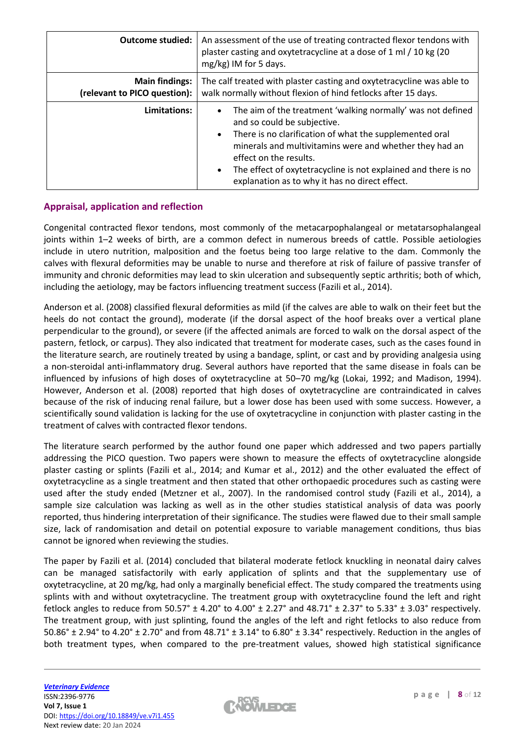| <b>Outcome studied:</b>                               | An assessment of the use of treating contracted flexor tendons with<br>plaster casting and oxytetracycline at a dose of 1 ml / 10 kg (20<br>mg/kg) IM for 5 days.                                                                                                                                                                                                                        |  |  |
|-------------------------------------------------------|------------------------------------------------------------------------------------------------------------------------------------------------------------------------------------------------------------------------------------------------------------------------------------------------------------------------------------------------------------------------------------------|--|--|
| <b>Main findings:</b><br>(relevant to PICO question): | The calf treated with plaster casting and oxytetracycline was able to<br>walk normally without flexion of hind fetlocks after 15 days.                                                                                                                                                                                                                                                   |  |  |
| Limitations:                                          | The aim of the treatment 'walking normally' was not defined<br>and so could be subjective.<br>There is no clarification of what the supplemented oral<br>$\bullet$<br>minerals and multivitamins were and whether they had an<br>effect on the results.<br>The effect of oxytetracycline is not explained and there is no<br>$\bullet$<br>explanation as to why it has no direct effect. |  |  |

### **Appraisal, application and reflection**

Congenital contracted flexor tendons, most commonly of the metacarpophalangeal or metatarsophalangeal joints within 1–2 weeks of birth, are a common defect in numerous breeds of cattle. Possible aetiologies include in utero nutrition, malposition and the foetus being too large relative to the dam. Commonly the calves with flexural deformities may be unable to nurse and therefore at risk of failure of passive transfer of immunity and chronic deformities may lead to skin ulceration and subsequently septic arthritis; both of which, including the aetiology, may be factors influencing treatment success (Fazili et al., 2014).

Anderson et al. (2008) classified flexural deformities as mild (if the calves are able to walk on their feet but the heels do not contact the ground), moderate (if the dorsal aspect of the hoof breaks over a vertical plane perpendicular to the ground), or severe (if the affected animals are forced to walk on the dorsal aspect of the pastern, fetlock, or carpus). They also indicated that treatment for moderate cases, such as the cases found in the literature search, are routinely treated by using a bandage, splint, or cast and by providing analgesia using a non-steroidal anti-inflammatory drug. Several authors have reported that the same disease in foals can be influenced by infusions of high doses of oxytetracycline at 50–70 mg/kg (Lokai, 1992; and Madison, 1994). However, Anderson et al. (2008) reported that high doses of oxytetracycline are contraindicated in calves because of the risk of inducing renal failure, but a lower dose has been used with some success. However, a scientifically sound validation is lacking for the use of oxytetracycline in conjunction with plaster casting in the treatment of calves with contracted flexor tendons.

The literature search performed by the author found one paper which addressed and two papers partially addressing the PICO question. Two papers were shown to measure the effects of oxytetracycline alongside plaster casting or splints (Fazili et al., 2014; and Kumar et al., 2012) and the other evaluated the effect of oxytetracycline as a single treatment and then stated that other orthopaedic procedures such as casting were used after the study ended (Metzner et al., 2007). In the randomised control study (Fazili et al., 2014), a sample size calculation was lacking as well as in the other studies statistical analysis of data was poorly reported, thus hindering interpretation of their significance. The studies were flawed due to their small sample size, lack of randomisation and detail on potential exposure to variable management conditions, thus bias cannot be ignored when reviewing the studies.

The paper by Fazili et al. (2014) concluded that bilateral moderate fetlock knuckling in neonatal dairy calves can be managed satisfactorily with early application of splints and that the supplementary use of oxytetracycline, at 20 mg/kg, had only a marginally beneficial effect. The study compared the treatments using splints with and without oxytetracycline. The treatment group with oxytetracycline found the left and right fetlock angles to reduce from  $50.57^\circ \pm 4.20^\circ$  to  $4.00^\circ \pm 2.27^\circ$  and  $48.71^\circ \pm 2.37^\circ$  to  $5.33^\circ \pm 3.03^\circ$  respectively. The treatment group, with just splinting, found the angles of the left and right fetlocks to also reduce from 50.86°  $\pm$  2.94° to 4.20°  $\pm$  2.70° and from 48.71°  $\pm$  3.14° to 6.80°  $\pm$  3.34° respectively. Reduction in the angles of both treatment types, when compared to the pre-treatment values, showed high statistical significance

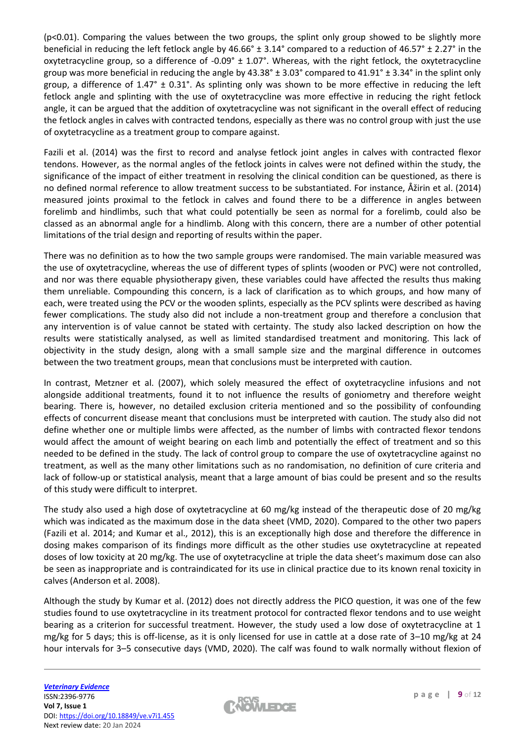(p<0.01). Comparing the values between the two groups, the splint only group showed to be slightly more beneficial in reducing the left fetlock angle by 46.66° ± 3.14° compared to a reduction of 46.57° ± 2.27° in the oxytetracycline group, so a difference of  $-0.09^{\circ} \pm 1.07^{\circ}$ . Whereas, with the right fetlock, the oxytetracycline group was more beneficial in reducing the angle by  $43.38^\circ \pm 3.03^\circ$  compared to  $41.91^\circ \pm 3.34^\circ$  in the splint only group, a difference of  $1.47^{\circ}$  ±  $0.31^{\circ}$ . As splinting only was shown to be more effective in reducing the left fetlock angle and splinting with the use of oxytetracycline was more effective in reducing the right fetlock angle, it can be argued that the addition of oxytetracycline was not significant in the overall effect of reducing the fetlock angles in calves with contracted tendons, especially as there was no control group with just the use of oxytetracycline as a treatment group to compare against.

Fazili et al. (2014) was the first to record and analyse fetlock joint angles in calves with contracted flexor tendons. However, as the normal angles of the fetlock joints in calves were not defined within the study, the significance of the impact of either treatment in resolving the clinical condition can be questioned, as there is no defined normal reference to allow treatment success to be substantiated. For instance, Åžirin et al. (2014) measured joints proximal to the fetlock in calves and found there to be a difference in angles between forelimb and hindlimbs, such that what could potentially be seen as normal for a forelimb, could also be classed as an abnormal angle for a hindlimb. Along with this concern, there are a number of other potential limitations of the trial design and reporting of results within the paper.

There was no definition as to how the two sample groups were randomised. The main variable measured was the use of oxytetracycline, whereas the use of different types of splints (wooden or PVC) were not controlled, and nor was there equable physiotherapy given, these variables could have affected the results thus making them unreliable. Compounding this concern, is a lack of clarification as to which groups, and how many of each, were treated using the PCV or the wooden splints, especially as the PCV splints were described as having fewer complications. The study also did not include a non-treatment group and therefore a conclusion that any intervention is of value cannot be stated with certainty. The study also lacked description on how the results were statistically analysed, as well as limited standardised treatment and monitoring. This lack of objectivity in the study design, along with a small sample size and the marginal difference in outcomes between the two treatment groups, mean that conclusions must be interpreted with caution.

In contrast, Metzner et al. (2007), which solely measured the effect of oxytetracycline infusions and not alongside additional treatments, found it to not influence the results of goniometry and therefore weight bearing. There is, however, no detailed exclusion criteria mentioned and so the possibility of confounding effects of concurrent disease meant that conclusions must be interpreted with caution. The study also did not define whether one or multiple limbs were affected, as the number of limbs with contracted flexor tendons would affect the amount of weight bearing on each limb and potentially the effect of treatment and so this needed to be defined in the study. The lack of control group to compare the use of oxytetracycline against no treatment, as well as the many other limitations such as no randomisation, no definition of cure criteria and lack of follow-up or statistical analysis, meant that a large amount of bias could be present and so the results of this study were difficult to interpret.

The study also used a high dose of oxytetracycline at 60 mg/kg instead of the therapeutic dose of 20 mg/kg which was indicated as the maximum dose in the data sheet (VMD, 2020). Compared to the other two papers (Fazili et al. 2014; and Kumar et al., 2012), this is an exceptionally high dose and therefore the difference in dosing makes comparison of its findings more difficult as the other studies use oxytetracycline at repeated doses of low toxicity at 20 mg/kg. The use of oxytetracycline at triple the data sheet's maximum dose can also be seen as inappropriate and is contraindicated for its use in clinical practice due to its known renal toxicity in calves (Anderson et al. 2008).

Although the study by Kumar et al. (2012) does not directly address the PICO question, it was one of the few studies found to use oxytetracycline in its treatment protocol for contracted flexor tendons and to use weight bearing as a criterion for successful treatment. However, the study used a low dose of oxytetracycline at 1 mg/kg for 5 days; this is off-license, as it is only licensed for use in cattle at a dose rate of 3–10 mg/kg at 24 hour intervals for 3–5 consecutive days (VMD, 2020). The calf was found to walk normally without flexion of

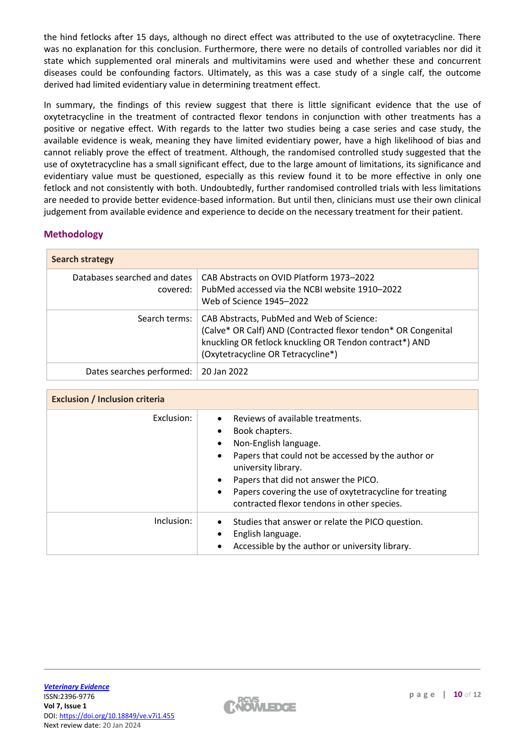the hind fetlocks after 15 days, although no direct effect was attributed to the use of oxytetracycline. There was no explanation for this conclusion. Furthermore, there were no details of controlled variables nor did it state which supplemented oral minerals and multivitamins were used and whether these and concurrent diseases could be confounding factors. Ultimately, as this was a case study of a single calf, the outcome derived had limited evidentiary value in determining treatment effect.

In summary, the findings of this review suggest that there is little significant evidence that the use of oxytetracycline in the treatment of contracted flexor tendons in conjunction with other treatments has a positive or negative effect. With regards to the latter two studies being a case series and case study, the available evidence is weak, meaning they have limited evidentiary power, have a high likelihood of bias and cannot reliably prove the effect of treatment. Although, the randomised controlled study suggested that the use of oxytetracycline has a small significant effect, due to the large amount of limitations, its significance and evidentiary value must be questioned, especially as this review found it to be more effective in only one fetlock and not consistently with both. Undoubtedly, further randomised controlled trials with less limitations are needed to provide better evidence-based information. But until then, clinicians must use their own clinical judgement from available evidence and experience to decide on the necessary treatment for their patient.

## **Methodology**

| <b>Search strategy</b>                   |                                                                                                                                                                                                             |  |  |
|------------------------------------------|-------------------------------------------------------------------------------------------------------------------------------------------------------------------------------------------------------------|--|--|
| Databases searched and dates<br>covered: | CAB Abstracts on OVID Platform 1973-2022<br>PubMed accessed via the NCBI website 1910–2022<br>Web of Science 1945-2022                                                                                      |  |  |
| Search terms:                            | CAB Abstracts, PubMed and Web of Science:<br>(Calve* OR Calf) AND (Contracted flexor tendon* OR Congenital<br>knuckling OR fetlock knuckling OR Tendon contract*) AND<br>(Oxytetracycline OR Tetracycline*) |  |  |
| Dates searches performed:                | 20 Jan 2022                                                                                                                                                                                                 |  |  |

| <b>Exclusion / Inclusion criteria</b> |                                                                                                                                                                                                                                                                                                                                      |  |  |  |  |
|---------------------------------------|--------------------------------------------------------------------------------------------------------------------------------------------------------------------------------------------------------------------------------------------------------------------------------------------------------------------------------------|--|--|--|--|
| Exclusion:                            | Reviews of available treatments.<br>Book chapters.<br>Non-English language.<br>Papers that could not be accessed by the author or<br>university library.<br>Papers that did not answer the PICO.<br>$\bullet$<br>Papers covering the use of oxytetracycline for treating<br>$\bullet$<br>contracted flexor tendons in other species. |  |  |  |  |
| Inclusion:                            | Studies that answer or relate the PICO question.<br>$\bullet$<br>English language.<br>Accessible by the author or university library.                                                                                                                                                                                                |  |  |  |  |

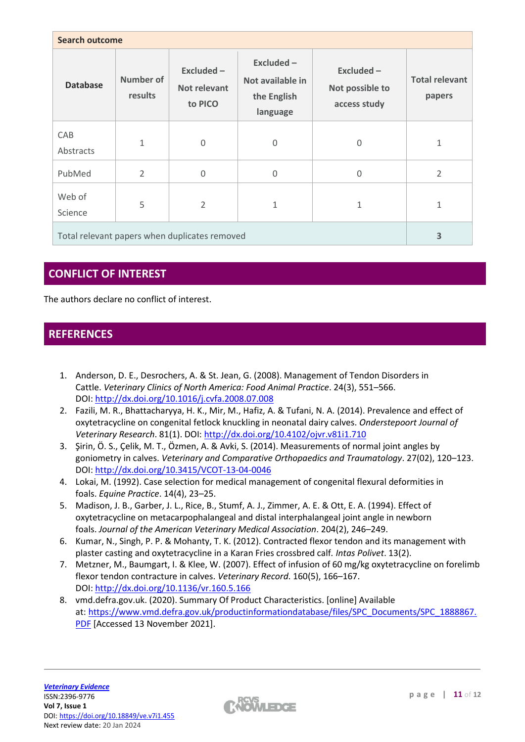| <b>Search outcome</b>                         |                             |                                             |                                                             |                                              |                                 |
|-----------------------------------------------|-----------------------------|---------------------------------------------|-------------------------------------------------------------|----------------------------------------------|---------------------------------|
| <b>Database</b>                               | <b>Number of</b><br>results | Excluded-<br><b>Not relevant</b><br>to PICO | $Excluded -$<br>Not available in<br>the English<br>language | Excluded-<br>Not possible to<br>access study | <b>Total relevant</b><br>papers |
| CAB<br>Abstracts                              | 1                           | $\Omega$                                    | 0                                                           | 0                                            | 1                               |
| PubMed                                        | $\overline{2}$              | $\Omega$                                    | $\Omega$                                                    | 0                                            | $\overline{2}$                  |
| Web of<br>Science                             | 5                           | $\overline{2}$                              | 1                                                           | 1                                            | 1                               |
| Total relevant papers when duplicates removed |                             |                                             | 3                                                           |                                              |                                 |

# **CONFLICT OF INTEREST**

The authors declare no conflict of interest.

# **REFERENCES**

- 1. Anderson, D. E., Desrochers, A. & St. Jean, G. (2008). Management of Tendon Disorders in Cattle. *Veterinary Clinics of North America: Food Animal Practice*. 24(3), 551–566. DOI: <http://dx.doi.org/10.1016/j.cvfa.2008.07.008>
- 2. Fazili, M. R., Bhattacharyya, H. K., Mir, M., Hafiz, A. & Tufani, N. A. (2014). Prevalence and effect of oxytetracycline on congenital fetlock knuckling in neonatal dairy calves. *Onderstepoort Journal of Veterinary Research*. 81(1). DOI: <http://dx.doi.org/10.4102/ojvr.v81i1.710>
- 3. Şirin, Ö. S., Çelik, M. T., Özmen, A. & Avki, S. (2014). Measurements of normal joint angles by goniometry in calves. *Veterinary and Comparative Orthopaedics and Traumatology*. 27(02), 120–123. DOI: <http://dx.doi.org/10.3415/VCOT-13-04-0046>
- 4. Lokai, M. (1992). Case selection for medical management of congenital flexural deformities in foals. *Equine Practice*. 14(4), 23–25.
- 5. Madison, J. B., Garber, J. L., Rice, B., Stumf, A. J., Zimmer, A. E. & Ott, E. A. (1994). Effect of oxytetracycline on metacarpophalangeal and distal interphalangeal joint angle in newborn foals. *Journal of the American Veterinary Medical Association*. 204(2), 246–249.
- 6. Kumar, N., Singh, P. P. & Mohanty, T. K. (2012). Contracted flexor tendon and its management with plaster casting and oxytetracycline in a Karan Fries crossbred calf*. Intas Polivet*. 13(2).
- 7. Metzner, M., Baumgart, I. & Klee, W. (2007). Effect of infusion of 60 mg/kg oxytetracycline on forelimb flexor tendon contracture in calves. *Veterinary Record*. 160(5), 166–167. DOI: <http://dx.doi.org/10.1136/vr.160.5.166>
- 8. vmd.defra.gov.uk. (2020). Summary Of Product Characteristics. [online] Available at: [https://www.vmd.defra.gov.uk/productinformationdatabase/files/SPC\\_Documents/SPC\\_1888867.](https://www.vmd.defra.gov.uk/productinformationdatabase/files/SPC_Documents/SPC_1888867.PDF) [PDF](https://www.vmd.defra.gov.uk/productinformationdatabase/files/SPC_Documents/SPC_1888867.PDF) [Accessed 13 November 2021].